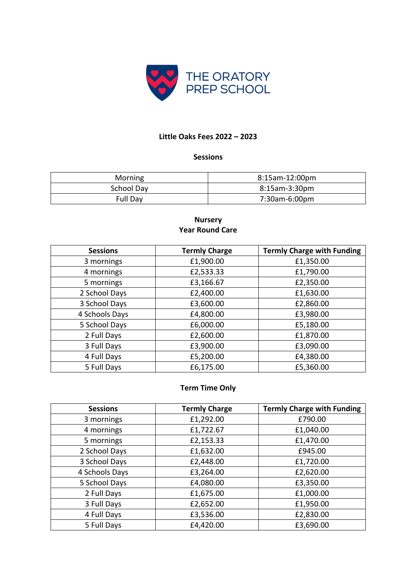

### **Little Oaks Fees 2022 – 2023**

### **Sessions**

| Morning    | 8:15am-12:00pm |
|------------|----------------|
| School Day | 8:15am-3:30pm  |
| Full Day   | 7:30am-6:00pm  |

### **Nursery Year Round Care**

| <b>Sessions</b> | <b>Termly Charge</b> | <b>Termly Charge with Funding</b> |
|-----------------|----------------------|-----------------------------------|
| 3 mornings      | £1,900.00            | £1,350.00                         |
| 4 mornings      | £2,533.33            | £1,790.00                         |
| 5 mornings      | £3,166.67            | £2,350.00                         |
| 2 School Days   | £2,400.00            | £1,630.00                         |
| 3 School Days   | £3,600.00            | £2,860.00                         |
| 4 Schools Days  | £4,800.00            | £3,980.00                         |
| 5 School Days   | £6,000.00            | £5,180.00                         |
| 2 Full Days     | £2,600.00            | £1,870.00                         |
| 3 Full Days     | £3,900.00            | £3,090.00                         |
| 4 Full Days     | £5,200.00            | £4,380.00                         |
| 5 Full Days     | £6,175.00            | £5,360.00                         |

# **Term Time Only**

| <b>Sessions</b> | <b>Termly Charge</b> | <b>Termly Charge with Funding</b> |
|-----------------|----------------------|-----------------------------------|
| 3 mornings      | £1,292.00            | £790.00                           |
| 4 mornings      | £1,722.67            | £1,040.00                         |
| 5 mornings      | £2,153.33            | £1,470.00                         |
| 2 School Days   | £1,632.00            | £945.00                           |
| 3 School Days   | £2,448.00            | £1,720.00                         |
| 4 Schools Days  | £3,264.00            | £2,620.00                         |
| 5 School Days   | £4,080.00            | £3,350.00                         |
| 2 Full Days     | £1,675.00            | £1,000.00                         |
| 3 Full Days     | £2,652.00            | £1,950.00                         |
| 4 Full Days     | £3,536.00            | £2,830.00                         |
| 5 Full Days     | £4,420.00            | £3,690.00                         |